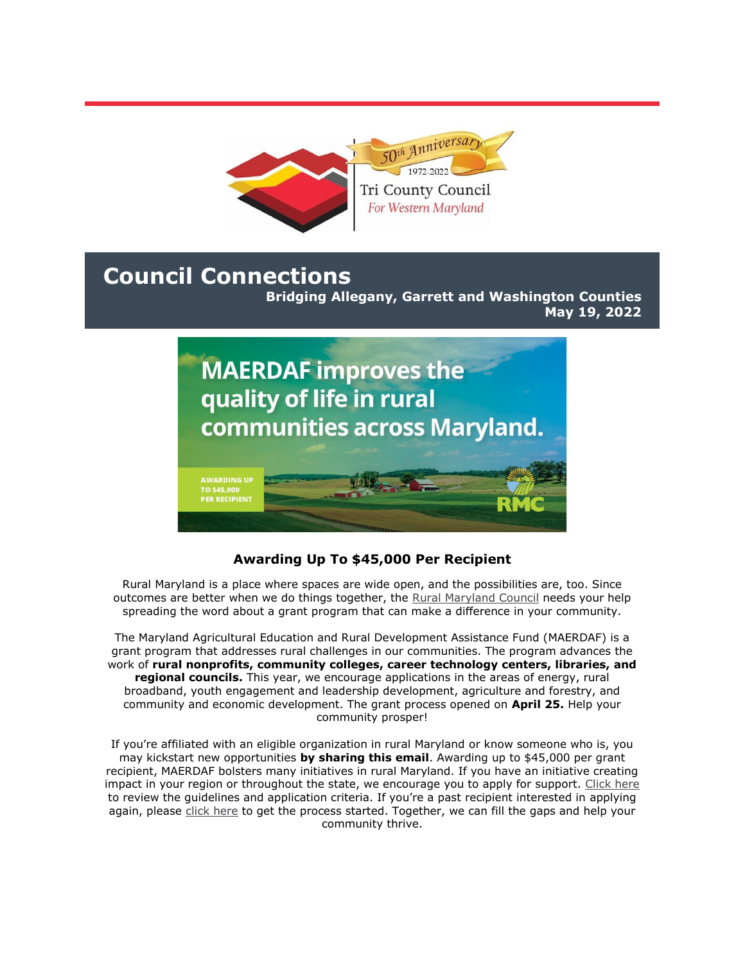

# **Council Connections**

**Bridging Allegany, Garrett and Washington Counties May 19, 2022**



## **Awarding Up To \$45,000 Per Recipient**

Rural Maryland is a place where spaces are wide open, and the possibilities are, too. Since outcomes are better when we do things together, the [Rural Maryland Council](https://r20.rs6.net/tn.jsp?f=001Ezqhg7wYLWU1dFha3R_dTU32HVaClxYNQ2GqKAYvcVlP4dqwH7UICudQuCTs84ZEOKhQZ6iD4Mrsw7yO4_U0xvhgaLSrY_YkCQu5Z0bsQh0zgEUV6DEOk--TvLbfgFkoeT6YgXMpv6AJa6VDSKiemA==&c=EuSLQ7oNcpkkE8H8qRBdKodqmJMnDo5PzY2hif03oqbULZ2NUaBxhA==&ch=FjZEyLUAV5m1_9loUfXPsVB1LSo8bm_aXREsyuTz27W0jQGocuBcbA==) needs your help spreading the word about a grant program that can make a difference in your community.

The Maryland Agricultural Education and Rural Development Assistance Fund (MAERDAF) is a grant program that addresses rural challenges in our communities. The program advances the work of **rural nonprofits, community colleges, career technology centers, libraries, and regional councils.** This year, we encourage applications in the areas of energy, rural broadband, youth engagement and leadership development, agriculture and forestry, and community and economic development. The grant process opened on **April 25.** Help your community prosper!

If you're affiliated with an eligible organization in rural Maryland or know someone who is, you may kickstart new opportunities **by sharing this email**. Awarding up to \$45,000 per grant recipient, MAERDAF bolsters many initiatives in rural Maryland. If you have an initiative creating impact in your region or throughout the state, we encourage you to apply for support. [Click here](https://r20.rs6.net/tn.jsp?f=001Ezqhg7wYLWU1dFha3R_dTU32HVaClxYNQ2GqKAYvcVlP4dqwH7UICkcLZmtAhTx8IeKZdYoNBg-MaPYP6rlBdiMyH8vafdzVDxU7-N4EQzYgA7CSXhWqjyp27ywPstJ6GHLSra2SoBudhcmQ3ls-uoaM1z0c8PEViMCrFdUWlzXmRpINaEA18g==&c=EuSLQ7oNcpkkE8H8qRBdKodqmJMnDo5PzY2hif03oqbULZ2NUaBxhA==&ch=FjZEyLUAV5m1_9loUfXPsVB1LSo8bm_aXREsyuTz27W0jQGocuBcbA==) to review the guidelines and application criteria. If you're a past recipient interested in applying again, please [click here](https://r20.rs6.net/tn.jsp?f=001Ezqhg7wYLWU1dFha3R_dTU32HVaClxYNQ2GqKAYvcVlP4dqwH7UICmNfz45WQnFmnurFQxwN7b85fzBWl03DD5su6Q0kpZYmf9A-6CY28klsPP9c23ARWFj2ZU82MB2LOtM_0Za1B0HXTED7Pf-Fh8cpOZNLJi8GFz5ofgMz1na7gJ4KfVudrO69QODy0sS4-dvcfGNsnwWks6rpI9gVkh2OeVXH41RrkzDA_x99RnyhIHAz_NDBFbIUaFRQEVVJVCx1epNMIFT_5JKSTnTrGUUhN9GsLB-V&c=EuSLQ7oNcpkkE8H8qRBdKodqmJMnDo5PzY2hif03oqbULZ2NUaBxhA==&ch=FjZEyLUAV5m1_9loUfXPsVB1LSo8bm_aXREsyuTz27W0jQGocuBcbA==) to get the process started. Together, we can fill the gaps and help your community thrive.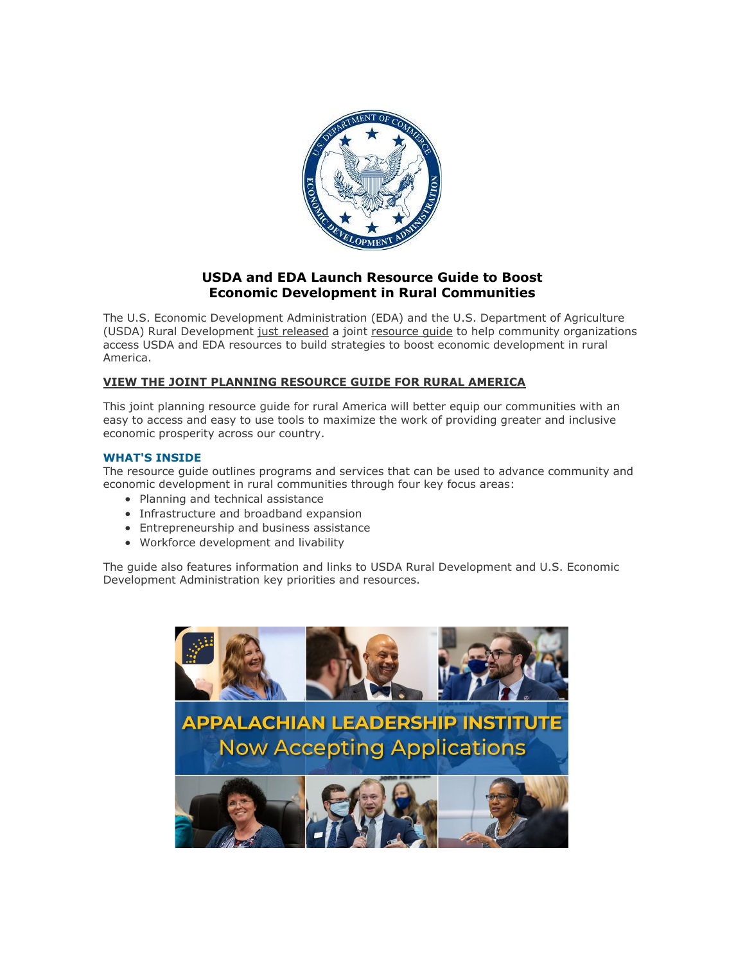

### **USDA and EDA Launch Resource Guide to Boost Economic Development in Rural Communities**

The U.S. Economic Development Administration (EDA) and the U.S. Department of Agriculture (USDA) Rural Development [just released](https://r20.rs6.net/tn.jsp?f=001ZPfkU3fTgjx-JENYoE30KVJWyfrZtLwhUAjB9QnZqsNd0LCm1X-mxCAlBXPXpzkAKFF2ZyvKaEwIRBnsAhaDX3n-UfHqaiQABPWkdwhLRTKQFBDoeph7Wuvh4-S-kqools-KYmq41MhjYznVjGH-G98l7J3uNyl1mLnotebfBb7l1dk6k8mzpH5qNffMZdjsQUpA1DHXXPY0aRjXT02rwxj3A-xe1kz1Qk5UVNMqYi7JZQ6IWB1GFqR-YQHWEVZX49CdTKamf4SL-vSS7J0v04VM6zsSD7jksA7LiLHyPiC2bRGxW6fn46yPtgeNjXgoUZ8WvkIevobIjSuDqV2tU8WKNG2Z_gKl&c=82ydDHFFzCin5zTHQs0oF5RDBskOyAg_TXdU6Jt8zvIIrxRMeM-O4A==&ch=SdsaJIh6mlYhgJDMrNRB5MUXJF0y12WU2-nUz3jai1CqotG9PIwh1A==) a joint [resource guide](https://r20.rs6.net/tn.jsp?f=001ZPfkU3fTgjx-JENYoE30KVJWyfrZtLwhUAjB9QnZqsNd0LCm1X-mxCAlBXPXpzkAxjF3HseUXBfPxu-CshFjvsmMZaJ-yC22f8o20Z47_j599onEP8h4VSNJ-bpzDDEU3CJwYLfVSZfRrbQ1oHy9LEH2xCg1aGrWH8UXfObdz-uxkr9V7UpooxCb0Yip3JHS2LB3sFY4OwiTBoKOT1VViERHHhfX1MJHY99iBGlLLgdfxGhmDfJyMExgkhBBrIKTsJSA2Y4fFErSSYodteI-HIL2o-pkVeL-GQg3Nydxo8inQo38X_zss6XqCryb9A5VPJhUB8C6Gtf7A0QdSTDVXadbYox4xwQGm_TYyjBExfQ=&c=82ydDHFFzCin5zTHQs0oF5RDBskOyAg_TXdU6Jt8zvIIrxRMeM-O4A==&ch=SdsaJIh6mlYhgJDMrNRB5MUXJF0y12WU2-nUz3jai1CqotG9PIwh1A==) to help community organizations access USDA and EDA resources to build strategies to boost economic development in rural America.

#### **[VIEW THE JOINT PLANNING RESOURCE GUIDE FOR RURAL AMERICA](https://r20.rs6.net/tn.jsp?f=001ZPfkU3fTgjx-JENYoE30KVJWyfrZtLwhUAjB9QnZqsNd0LCm1X-mxCAlBXPXpzkAW5Bom1SgZZaOa2Sg9sllBQ_39OvxG5T3lGOc4iONg7vhYvNHVPyXmpDTUi49gu23dAOENdduNSptLoEjvyXTMfjjtvzYsm4WajYlgad-O5KEGgfJHxsVgfqkN39YBFPyh5DlWStAubF5h0LqDQE_YJFY9T-WKwCPAmwwjB-55YF7kNjJIsmM38khaCVLo81H0mROrgh2RBCvs3Giopyu4HDTCdIP6mU3APaj7o2vvdzKrII-uE4UWO44H8BbahIDq7kbq63Ah1iOv_UzHJ6M6E4Dg3gdea4FW60yVdMC9o7Cdd14q9EbUl-wpp0h2PaD&c=82ydDHFFzCin5zTHQs0oF5RDBskOyAg_TXdU6Jt8zvIIrxRMeM-O4A==&ch=SdsaJIh6mlYhgJDMrNRB5MUXJF0y12WU2-nUz3jai1CqotG9PIwh1A==)**

This joint planning resource guide for rural America will better equip our communities with an easy to access and easy to use tools to maximize the work of providing greater and inclusive economic prosperity across our country.

#### **WHAT'S INSIDE**

The resource guide outlines programs and services that can be used to advance community and economic development in rural communities through four key focus areas:

- Planning and technical assistance
- Infrastructure and broadband expansion
- Entrepreneurship and business assistance
- Workforce development and livability

The guide also features information and links to USDA Rural Development and U.S. Economic Development Administration key priorities and resources.